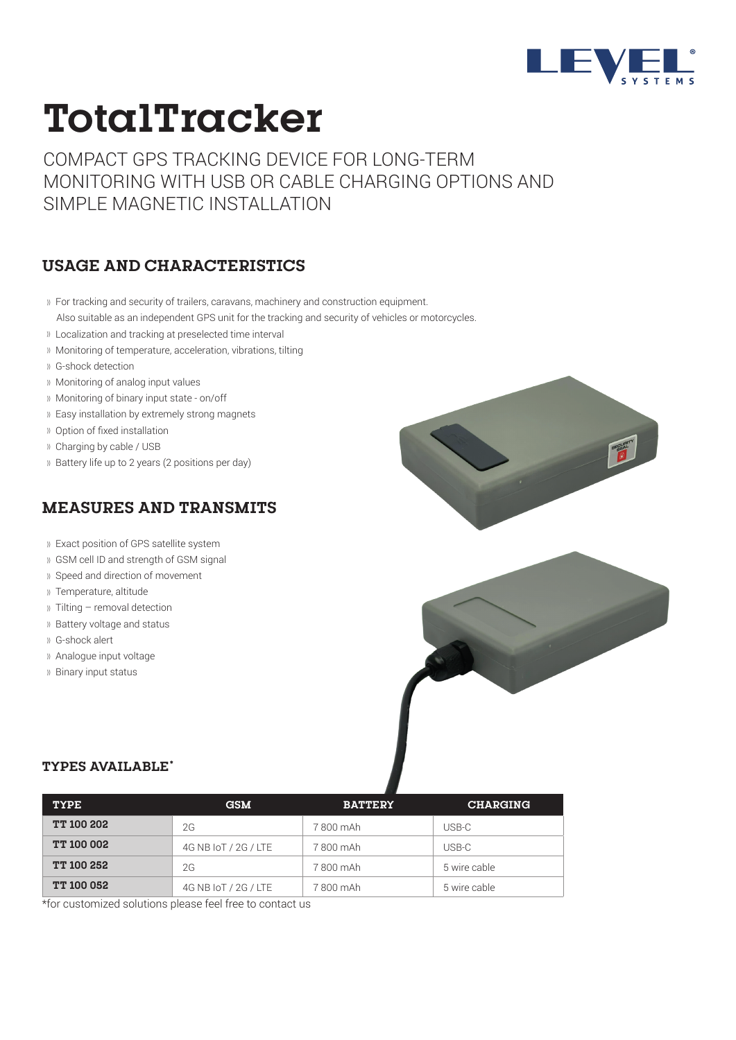

# **TotalTracker**

COMPACT GPS TRACKING DEVICE FOR LONG-TERM MONITORING WITH USB OR CABLE CHARGING OPTIONS AND SIMPLE MAGNETIC INSTALLATION

### **USAGE AND CHARACTERISTICS**

- For tracking and security of trailers, caravans, machinery and construction equipment. Also suitable as an independent GPS unit for the tracking and security of vehicles or motorcycles.
- Localization and tracking at preselected time interval
- Monitoring of temperature, acceleration, vibrations, tilting
- G-shock detection
- Monitoring of analog input values
- Monitoring of binary input state on/off
- Easy installation by extremely strong magnets
- Option of fixed installation
- Charging by cable / USB
- Battery life up to 2 years (2 positions per day)

### **MEASURES AND TRANSMITS**

- Exact position of GPS satellite system
- GSM cell ID and strength of GSM signal
- Speed and direction of movement
- Temperature, altitude
- Tilting removal detection
- Battery voltage and status
- G-shock alert
- Analogue input voltage
- Binary input status



#### **TYPES AVAILABLE\***

| <b>TYPE</b>       | <b>GSM</b>           | <b>BATTERY</b> | <b>CHARGING</b> |
|-------------------|----------------------|----------------|-----------------|
| <b>TT 100 202</b> | 2G                   | 7800 mAh       | USB-C           |
| <b>TT 100 002</b> | 4G NB IoT / 2G / LTE | 7 800 mAh      | USB-C           |
| <b>TT 100 252</b> | 2G                   | 7800 mAh       | 5 wire cable    |
| <b>TT 100 052</b> | 4G NB IoT / 2G / LTE | 7 800 mAh      | 5 wire cable    |

\*for customized solutions please feel free to contact us